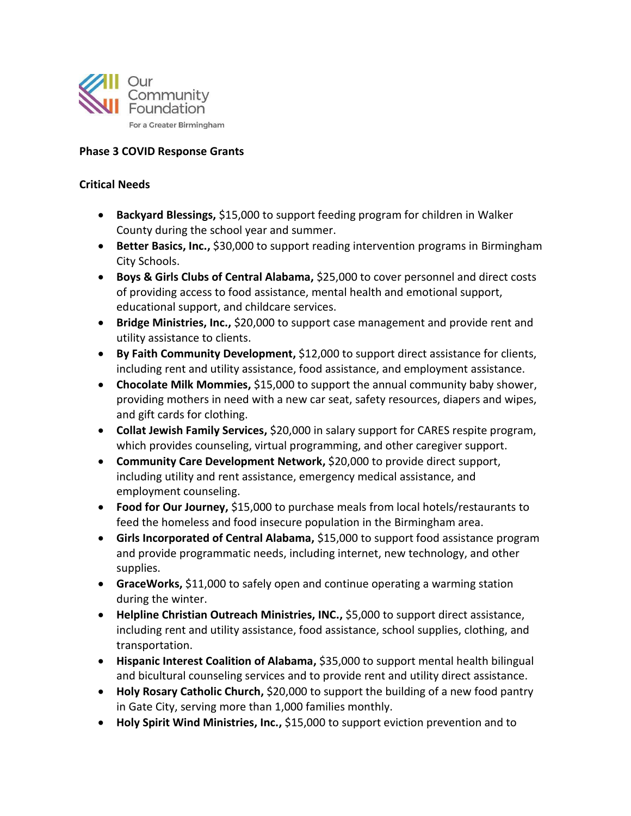

## **Phase 3 COVID Response Grants**

## **Critical Needs**

- **Backyard Blessings,** \$15,000 to support feeding program for children in Walker County during the school year and summer.
- **Better Basics, Inc.,** \$30,000 to support reading intervention programs in Birmingham City Schools.
- **Boys & Girls Clubs of Central Alabama,** \$25,000 to cover personnel and direct costs of providing access to food assistance, mental health and emotional support, educational support, and childcare services.
- **Bridge Ministries, Inc.,** \$20,000 to support case management and provide rent and utility assistance to clients.
- **By Faith Community Development, \$12,000 to support direct assistance for clients,** including rent and utility assistance, food assistance, and employment assistance.
- **Chocolate Milk Mommies,** \$15,000 to support the annual community baby shower, providing mothers in need with a new car seat, safety resources, diapers and wipes, and gift cards for clothing.
- **Collat Jewish Family Services,** \$20,000 in salary support for CARES respite program, which provides counseling, virtual programming, and other caregiver support.
- **Community Care Development Network,** \$20,000 to provide direct support, including utility and rent assistance, emergency medical assistance, and employment counseling.
- **Food for Our Journey,** \$15,000 to purchase meals from local hotels/restaurants to feed the homeless and food insecure population in the Birmingham area.
- **Girls Incorporated of Central Alabama, \$15,000 to support food assistance program** and provide programmatic needs, including internet, new technology, and other supplies.
- **GraceWorks,** \$11,000 to safely open and continue operating a warming station during the winter.
- **Helpline Christian Outreach Ministries, INC.,** \$5,000 to support direct assistance, including rent and utility assistance, food assistance, school supplies, clothing, and transportation.
- **Hispanic Interest Coalition of Alabama,** \$35,000 to support mental health bilingual and bicultural counseling services and to provide rent and utility direct assistance.
- Holy Rosary Catholic Church, \$20,000 to support the building of a new food pantry in Gate City, serving more than 1,000 families monthly.
- **Holy Spirit Wind Ministries, Inc.,** \$15,000 to support eviction prevention and to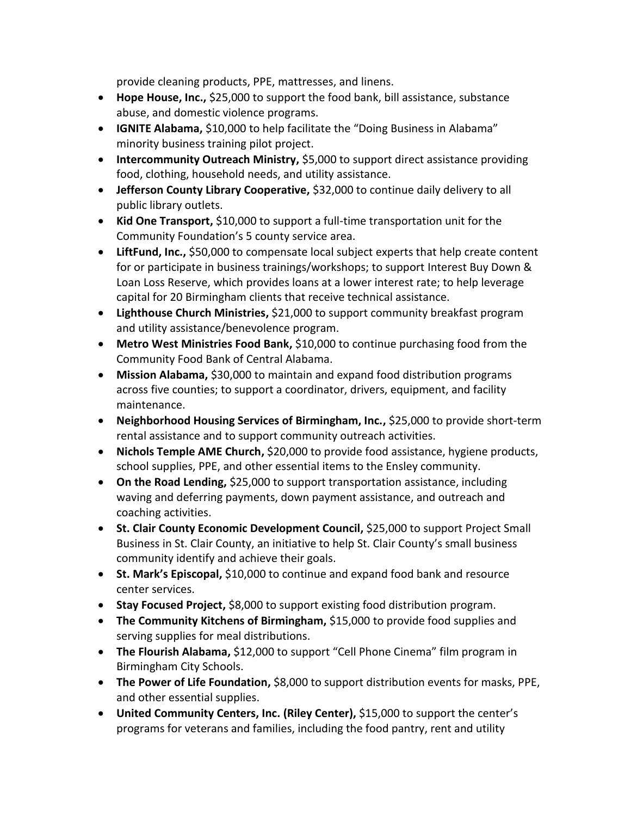provide cleaning products, PPE, mattresses, and linens.

- **Hope House, Inc.,** \$25,000 to support the food bank, bill assistance, substance abuse, and domestic violence programs.
- **IGNITE Alabama,** \$10,000 to help facilitate the "Doing Business in Alabama" minority business training pilot project.
- **Intercommunity Outreach Ministry, \$5,000 to support direct assistance providing** food, clothing, household needs, and utility assistance.
- **Jefferson County Library Cooperative, \$32,000 to continue daily delivery to all** public library outlets.
- **Kid One Transport,** \$10,000 to support a full-time transportation unit for the Community Foundation's 5 county service area.
- **LiftFund, Inc.,** \$50,000 to compensate local subject experts that help create content for or participate in business trainings/workshops; to support Interest Buy Down & Loan Loss Reserve, which provides loans at a lower interest rate; to help leverage capital for 20 Birmingham clients that receive technical assistance.
- **Lighthouse Church Ministries,** \$21,000 to support community breakfast program and utility assistance/benevolence program.
- **Metro West Ministries Food Bank, \$10,000 to continue purchasing food from the** Community Food Bank of Central Alabama.
- **Mission Alabama,** \$30,000 to maintain and expand food distribution programs across five counties; to support a coordinator, drivers, equipment, and facility maintenance.
- **Neighborhood Housing Services of Birmingham, Inc.,** \$25,000 to provide short-term rental assistance and to support community outreach activities.
- **Nichols Temple AME Church,** \$20,000 to provide food assistance, hygiene products, school supplies, PPE, and other essential items to the Ensley community.
- **On the Road Lending,** \$25,000 to support transportation assistance, including waving and deferring payments, down payment assistance, and outreach and coaching activities.
- **St. Clair County Economic Development Council, \$25,000 to support Project Small** Business in St. Clair County, an initiative to help St. Clair County's small business community identify and achieve their goals.
- **St. Mark's Episcopal,** \$10,000 to continue and expand food bank and resource center services.
- **Stay Focused Project,** \$8,000 to support existing food distribution program.
- **The Community Kitchens of Birmingham, \$15,000 to provide food supplies and** serving supplies for meal distributions.
- **The Flourish Alabama, \$12,000 to support "Cell Phone Cinema" film program in** Birmingham City Schools.
- **The Power of Life Foundation,** \$8,000 to support distribution events for masks, PPE, and other essential supplies.
- **•** United Community Centers, Inc. (Riley Center), \$15,000 to support the center's programs for veterans and families, including the food pantry, rent and utility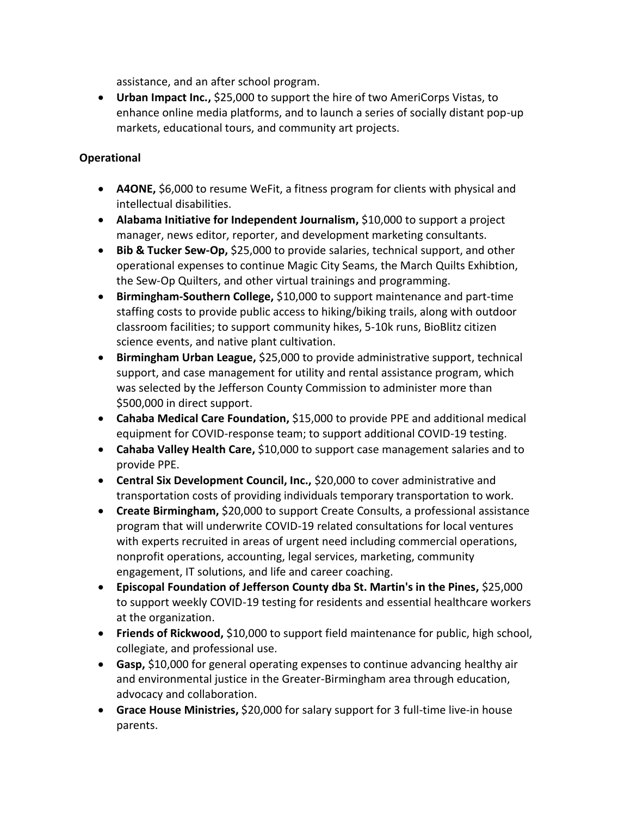assistance, and an after school program.

 **Urban Impact Inc.,** \$25,000 to support the hire of two AmeriCorps Vistas, to enhance online media platforms, and to launch a series of socially distant pop-up markets, educational tours, and community art projects.

## **Operational**

- **A4ONE,** \$6,000 to resume WeFit, a fitness program for clients with physical and intellectual disabilities.
- **Alabama Initiative for Independent Journalism,** \$10,000 to support a project manager, news editor, reporter, and development marketing consultants.
- **Bib & Tucker Sew-Op,** \$25,000 to provide salaries, technical support, and other operational expenses to continue Magic City Seams, the March Quilts Exhibtion, the Sew-Op Quilters, and other virtual trainings and programming.
- **Birmingham-Southern College,** \$10,000 to support maintenance and part-time staffing costs to provide public access to hiking/biking trails, along with outdoor classroom facilities; to support community hikes, 5-10k runs, BioBlitz citizen science events, and native plant cultivation.
- **Birmingham Urban League,** \$25,000 to provide administrative support, technical support, and case management for utility and rental assistance program, which was selected by the Jefferson County Commission to administer more than \$500,000 in direct support.
- **Cahaba Medical Care Foundation,** \$15,000 to provide PPE and additional medical equipment for COVID-response team; to support additional COVID-19 testing.
- **Cahaba Valley Health Care,** \$10,000 to support case management salaries and to provide PPE.
- **Central Six Development Council, Inc.,** \$20,000 to cover administrative and transportation costs of providing individuals temporary transportation to work.
- **Create Birmingham, \$20,000 to support Create Consults, a professional assistance** program that will underwrite COVID-19 related consultations for local ventures with experts recruited in areas of urgent need including commercial operations, nonprofit operations, accounting, legal services, marketing, community engagement, IT solutions, and life and career coaching.
- **Episcopal Foundation of Jefferson County dba St. Martin's in the Pines, \$25,000** to support weekly COVID-19 testing for residents and essential healthcare workers at the organization.
- **Friends of Rickwood,** \$10,000 to support field maintenance for public, high school, collegiate, and professional use.
- **Gasp,** \$10,000 for general operating expenses to continue advancing healthy air and environmental justice in the Greater-Birmingham area through education, advocacy and collaboration.
- **Grace House Ministries,** \$20,000 for salary support for 3 full-time live-in house parents.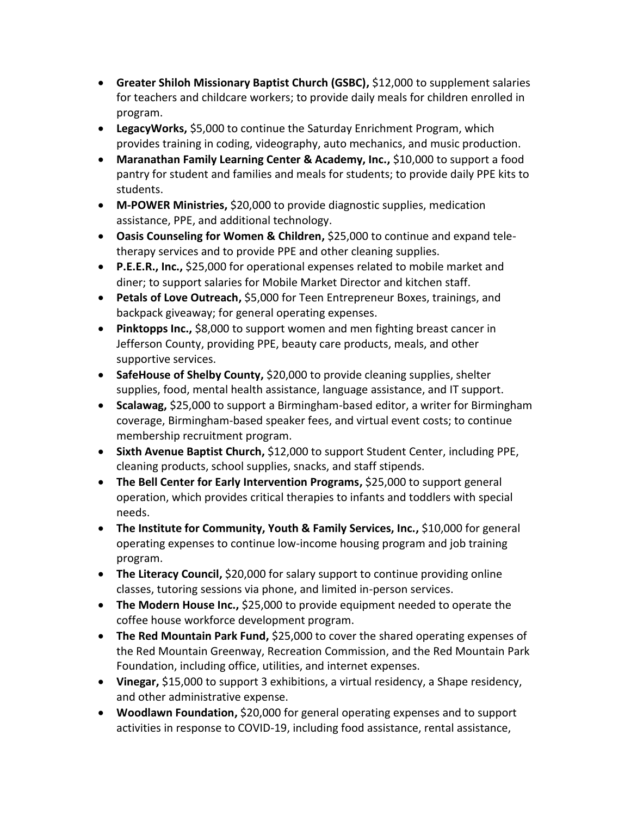- **Greater Shiloh Missionary Baptist Church (GSBC), \$12,000 to supplement salaries** for teachers and childcare workers; to provide daily meals for children enrolled in program.
- **LegacyWorks,** \$5,000 to continue the Saturday Enrichment Program, which provides training in coding, videography, auto mechanics, and music production.
- **Maranathan Family Learning Center & Academy, Inc.,** \$10,000 to support a food pantry for student and families and meals for students; to provide daily PPE kits to students.
- **M-POWER Ministries,** \$20,000 to provide diagnostic supplies, medication assistance, PPE, and additional technology.
- **Oasis Counseling for Women & Children,** \$25,000 to continue and expand teletherapy services and to provide PPE and other cleaning supplies.
- **P.E.E.R., Inc.,** \$25,000 for operational expenses related to mobile market and diner; to support salaries for Mobile Market Director and kitchen staff.
- **Petals of Love Outreach,** \$5,000 for Teen Entrepreneur Boxes, trainings, and backpack giveaway; for general operating expenses.
- **Pinktopps Inc.,** \$8,000 to support women and men fighting breast cancer in Jefferson County, providing PPE, beauty care products, meals, and other supportive services.
- **SafeHouse of Shelby County, \$20,000 to provide cleaning supplies, shelter** supplies, food, mental health assistance, language assistance, and IT support.
- **Scalawag,** \$25,000 to support a Birmingham-based editor, a writer for Birmingham coverage, Birmingham-based speaker fees, and virtual event costs; to continue membership recruitment program.
- **Sixth Avenue Baptist Church,** \$12,000 to support Student Center, including PPE, cleaning products, school supplies, snacks, and staff stipends.
- **The Bell Center for Early Intervention Programs, \$25,000 to support general** operation, which provides critical therapies to infants and toddlers with special needs.
- **•** The Institute for Community, Youth & Family Services, Inc., \$10,000 for general operating expenses to continue low-income housing program and job training program.
- **The Literacy Council, \$20,000 for salary support to continue providing online** classes, tutoring sessions via phone, and limited in-person services.
- **The Modern House Inc.,** \$25,000 to provide equipment needed to operate the coffee house workforce development program.
- **The Red Mountain Park Fund, \$25,000 to cover the shared operating expenses of** the Red Mountain Greenway, Recreation Commission, and the Red Mountain Park Foundation, including office, utilities, and internet expenses.
- **Vinegar,** \$15,000 to support 3 exhibitions, a virtual residency, a Shape residency, and other administrative expense.
- **Woodlawn Foundation,** \$20,000 for general operating expenses and to support activities in response to COVID-19, including food assistance, rental assistance,